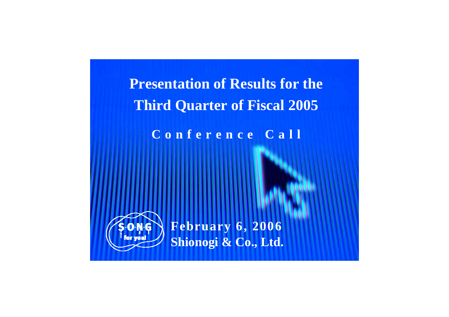**Presentation of Results for the Third Quarter of Fiscal 2005**

**Conference Call**



**Shionogi & Co., Ltd. February 6, 2006**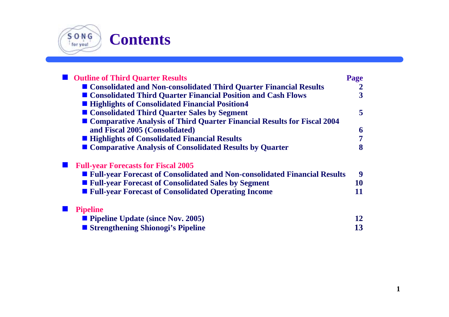

# **Contents**

| <b>Outline of Third Quarter Results</b>                                     | Page |
|-----------------------------------------------------------------------------|------|
| ■ Consolidated and Non-consolidated Third Quarter Financial Results         | 2    |
| ■ Consolidated Third Quarter Financial Position and Cash Flows              | 3    |
| ■ Highlights of Consolidated Financial Position4                            |      |
| ■ Consolidated Third Quarter Sales by Segment                               | 5    |
| ■ Comparative Analysis of Third Quarter Financial Results for Fiscal 2004   |      |
| and Fiscal 2005 (Consolidated)                                              | 6    |
| ■ Highlights of Consolidated Financial Results                              | 7    |
| Comparative Analysis of Consolidated Results by Quarter                     | 8    |
| <b>Full-year Forecasts for Fiscal 2005</b>                                  |      |
| ■ Full-year Forecast of Consolidated and Non-consolidated Financial Results | 9    |
| ■ Full-year Forecast of Consolidated Sales by Segment                       | 10   |
| <b>Full-year Forecast of Consolidated Operating Income</b>                  | 11   |
| <b>Pipeline</b>                                                             |      |
| $\blacksquare$ Pipeline Update (since Nov. 2005)                            | 12   |
| ■ Strengthening Shionogi's Pipeline                                         | 13   |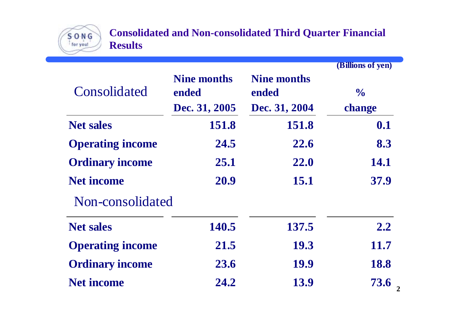

**Consolidated and Non-consolidated Third Quarter Financial Results**

|                         |                             |                             | (Billions of yen) |
|-------------------------|-----------------------------|-----------------------------|-------------------|
| Consolidated            | <b>Nine months</b><br>ended | <b>Nine months</b><br>ended | $\frac{1}{2}$     |
|                         | Dec. 31, 2005               | Dec. 31, 2004               | change            |
| <b>Net sales</b>        | 151.8                       | 151.8                       | 0.1               |
| <b>Operating income</b> | 24.5                        | 22.6                        | 8.3               |
| <b>Ordinary income</b>  | 25.1                        | <b>22.0</b>                 | 14.1              |
| <b>Net income</b>       | 20.9                        | 15.1                        | 37.9              |
| Non-consolidated        |                             |                             |                   |
| <b>Net sales</b>        | 140.5                       | 137.5                       | 2.2               |
| <b>Operating income</b> | 21.5                        | <b>19.3</b>                 | 11.7              |
| <b>Ordinary income</b>  | 23.6                        | 19.9                        | 18.8              |
| <b>Net income</b>       | 24.2                        | 13.9                        | 73.6              |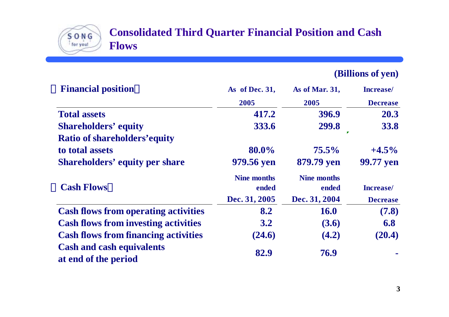#### **Consolidated Third Quarter Financial Position and Cash Flows**

 $S$  O N  $G$ 

**(Billions of yen)**

| <b>Financial position</b>                                | As of Dec. 31,                               | As of Mar. 31,                               | <b>Increase</b> /                    |
|----------------------------------------------------------|----------------------------------------------|----------------------------------------------|--------------------------------------|
|                                                          | 2005                                         | 2005                                         | <b>Decrease</b>                      |
| <b>Total assets</b>                                      | 417.2                                        | 396.9                                        | 20.3                                 |
| <b>Shareholders' equity</b>                              | 333.6                                        | 299.8                                        | 33.8                                 |
| <b>Ratio of shareholders' equity</b>                     |                                              |                                              |                                      |
| to total assets                                          | 80.0%                                        | $75.5\%$                                     | $+4.5\%$                             |
| <b>Shareholders' equity per share</b>                    | 979.56 yen                                   | 879.79 yen                                   | 99.77 yen                            |
| <b>Cash Flows</b>                                        | <b>Nine months</b><br>ended<br>Dec. 31, 2005 | <b>Nine months</b><br>ended<br>Dec. 31, 2004 | <b>Increase</b> /<br><b>Decrease</b> |
| <b>Cash flows from operating activities</b>              | 8.2                                          | <b>16.0</b>                                  | (7.8)                                |
| <b>Cash flows from investing activities</b>              | 3.2                                          | (3.6)                                        | 6.8                                  |
| <b>Cash flows from financing activities</b>              | (24.6)                                       | (4.2)                                        | (20.4)                               |
| <b>Cash and cash equivalents</b><br>at end of the period | 82.9                                         | 76.9                                         |                                      |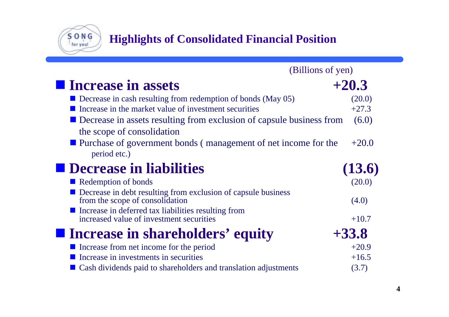**Highlights of Consolidated Financial Position**

S O N G

| (Billions of yen)                                                                                               |         |
|-----------------------------------------------------------------------------------------------------------------|---------|
| <b>I</b> Increase in assets                                                                                     | $+20.3$ |
| Decrease in cash resulting from redemption of bonds (May 05)                                                    | (20.0)  |
| Increase in the market value of investment securities                                                           | $+27.3$ |
| Decrease in assets resulting from exclusion of capsule business from                                            | (6.0)   |
| the scope of consolidation                                                                                      |         |
| ■ Purchase of government bonds (management of net income for the                                                | $+20.0$ |
| period etc.)                                                                                                    |         |
| <b>Decrease in liabilities</b>                                                                                  | (13.6)  |
| Redemption of bonds                                                                                             | (20.0)  |
| $\blacksquare$ Decrease in debt resulting from exclusion of capsule business<br>from the scope of consolidation | (4.0)   |
| Increase in deferred tax liabilities resulting from<br>increased value of investment securities                 | $+10.7$ |
| <b>Example 1</b> Increase in shareholders' equity                                                               | $+33.8$ |
| Increase from net income for the period                                                                         | $+20.9$ |
| Increase in investments in securities                                                                           | $+16.5$ |
| Cash dividends paid to shareholders and translation adjustments                                                 | (3.7)   |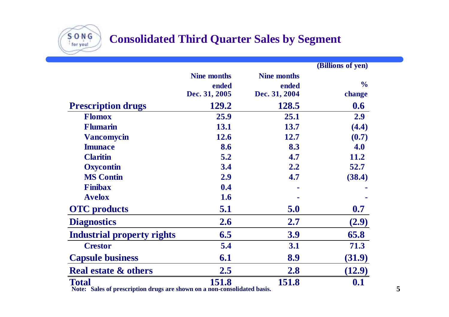

## **Consolidated Third Quarter Sales by Segment**

|                                                                                          |                    |                    | (Billions of yen) |
|------------------------------------------------------------------------------------------|--------------------|--------------------|-------------------|
|                                                                                          | <b>Nine months</b> | <b>Nine months</b> |                   |
|                                                                                          | ended              | ended              | $\frac{0}{0}$     |
|                                                                                          | Dec. 31, 2005      | Dec. 31, 2004      | change            |
| <b>Prescription drugs</b>                                                                | 129.2              | 128.5              | 0.6               |
| <b>Flomox</b>                                                                            | 25.9               | 25.1               | 2.9               |
| <b>Flumarin</b>                                                                          | 13.1               | 13.7               | (4.4)             |
| <b>Vancomycin</b>                                                                        | 12.6               | 12.7               | (0.7)             |
| <b>Imunace</b>                                                                           | 8.6                | 8.3                | 4.0               |
| <b>Claritin</b>                                                                          | 5.2                | 4.7                | 11.2              |
| <b>Oxycontin</b>                                                                         | 3.4                | 2.2                | 52.7              |
| <b>MS Contin</b>                                                                         | 2.9                | 4.7                | (38.4)            |
| <b>Finibax</b>                                                                           | 0.4                |                    |                   |
| <b>Avelox</b>                                                                            | 1.6                |                    |                   |
| <b>OTC</b> products                                                                      | 5.1                | 5.0                | 0.7               |
| <b>Diagnostics</b>                                                                       | 2.6                | 2.7                | (2.9)             |
| <b>Industrial property rights</b>                                                        | 6.5                | 3.9                | 65.8              |
| <b>Crestor</b>                                                                           | 5.4                | 3.1                | 71.3              |
| <b>Capsule business</b>                                                                  | 6.1                | 8.9                | (31.9)            |
| <b>Real estate &amp; others</b>                                                          | 2.5                | 2.8                | (12.9)            |
| <b>Total</b><br>Note: Sales of prescription drugs are shown on a non-consolidated basis. | 151.8              | 151.8              | 0.1               |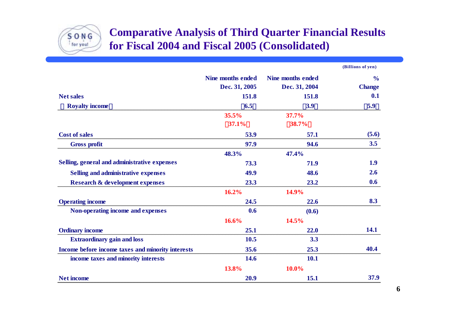

#### **Comparative Analysis of Third Quarter Financial Results for Fiscal 2004 and Fiscal 2005 (Consolidated)**

|                                                   |                          |                          | (Billions of yen) |
|---------------------------------------------------|--------------------------|--------------------------|-------------------|
|                                                   | <b>Nine months ended</b> | <b>Nine months ended</b> | $\frac{6}{6}$     |
|                                                   | Dec. 31, 2005            | Dec. 31, 2004            | <b>Change</b>     |
| <b>Net sales</b>                                  | 151.8                    | 151.8                    | 0.1               |
| <b>Royalty income</b>                             | 6.5                      | 3.9                      | 5.9               |
|                                                   | 35.5%                    | 37.7%                    |                   |
|                                                   | 37.1%                    | 38.7%                    |                   |
| <b>Cost of sales</b>                              | 53.9                     | 57.1                     | (5.6)             |
| <b>Gross profit</b>                               | 97.9                     | 94.6                     | 3.5               |
|                                                   | 48.3%                    | 47.4%                    |                   |
| Selling, general and administrative expenses      | 73.3                     | 71.9                     | 1.9               |
| Selling and administrative expenses               | 49.9                     | 48.6                     | 2.6               |
| <b>Research &amp; development expenses</b>        | 23.3                     | 23.2                     | 0.6               |
|                                                   | 16.2%                    | 14.9%                    |                   |
| <b>Operating income</b>                           | 24.5                     | 22.6                     | 8.3               |
| Non-operating income and expenses                 | 0.6                      | (0.6)                    |                   |
|                                                   | 16.6%                    | 14.5%                    |                   |
| <b>Ordinary income</b>                            | 25.1                     | 22.0                     | 14.1              |
| <b>Extraordinary gain and loss</b>                | 10.5                     | 3.3                      |                   |
| Income before income taxes and minority interests | 35.6                     | 25.3                     | 40.4              |
| income taxes and minority interests               | 14.6                     | <b>10.1</b>              |                   |
|                                                   | 13.8%                    | 10.0%                    |                   |
| <b>Net income</b>                                 | 20.9                     | 15.1                     | 37.9              |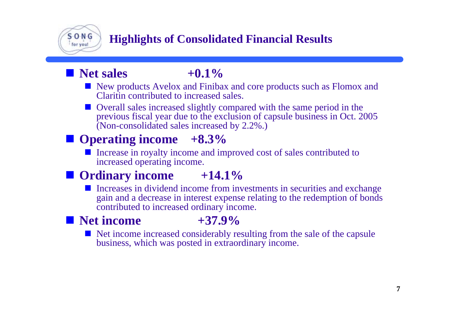

## **Highlights of Consolidated Financial Results**

## **Net sales**  $+0.1\%$

- **New products Avelox and Finibax and core products such as Flomox and** Claritin contributed to increased sales.
- **Overall sales increased slightly compared with the same period in the** previous fiscal year due to the exclusion of capsule business in Oct. 2005 (Non-consolidated sales increased by 2.2%.)

# **Operating income** +8.3%

Increase in royalty income and improved cost of sales contributed to increased operating income.

# **Ordinary income +14.1%**

Г Increases in dividend income from investments in securities and exchange gain and a decrease in interest expense relating to the redemption of bonds contributed to increased ordinary income.

## **Net income +37.9%**

Net income increased considerably resulting from the sale of the capsule business, which was posted in extraordinary income.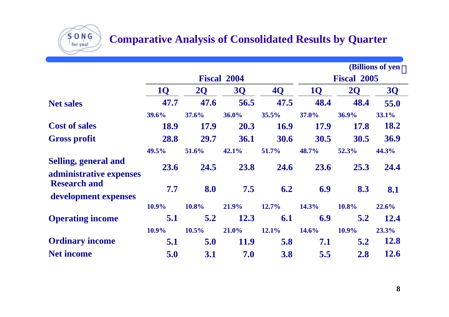## **Comparative Analysis of Consolidated Results by Quarter**

 $S$  O N  $G$ for you!

|                                                        |       |                |                    |           |           |                    | (Billions of yen |
|--------------------------------------------------------|-------|----------------|--------------------|-----------|-----------|--------------------|------------------|
|                                                        |       |                | <b>Fiscal 2004</b> |           |           | <b>Fiscal 2005</b> |                  |
|                                                        | 10    | 2 <sub>O</sub> | <b>3Q</b>          | <b>4Q</b> | <b>10</b> | <b>2Q</b>          | <b>3Q</b>        |
| <b>Net sales</b>                                       | 47.7  | 47.6           | 56.5               | 47.5      | 48.4      | 48.4               | 55.0             |
|                                                        | 39.6% | 37.6%          | 36.0%              | 35.5%     | 37.0%     | 36.9%              | 33.1%            |
| <b>Cost of sales</b>                                   | 18.9  | 17.9           | 20.3               | 16.9      | 17.9      | 17.8               | 18.2             |
| <b>Gross profit</b>                                    | 28.8  | 29.7           | 36.1               | 30.6      | 30.5      | 30.5               | 36.9             |
|                                                        | 49.5% | 51.6%          | 42.1%              | 51.7%     | 48.7%     | 52.3%              | 44.3%            |
| <b>Selling, general and</b><br>administrative expenses | 23.6  | 24.5           | 23.8               | 24.6      | 23.6      | 25.3               | 24.4             |
| <b>Research and</b><br>development expenses            | 7.7   | 8.0            | 7.5                | 6.2       | 6.9       | 8.3                | 8.1              |
|                                                        | 10.9% | 10.8%          | 21.9%              | 12.7%     | 14.3%     | 10.8%              | 22.6%            |
| <b>Operating income</b>                                | 5.1   | 5.2            | 12.3               | 6.1       | 6.9       | 5.2                | 12.4             |
|                                                        | 10.9% | 10.5%          | 21.0%              | 12.1%     | 14.6%     | 10.9%              | 23.3%            |
| <b>Ordinary income</b>                                 | 5.1   | 5.0            | 11.9               | 5.8       | 7.1       | 5.2                | 12.8             |
| <b>Net income</b>                                      | 5.0   | 3.1            | 7.0                | 3.8       | 5.5       | 2.8                | 12.6             |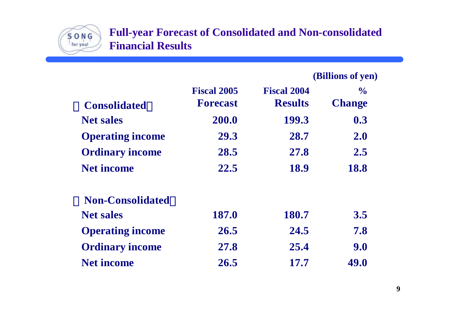

#### **Full-year Forecast of Consolidated and Non-consolidated Financial Results**

|                         |                                       |                                      | (Billions of yen)              |
|-------------------------|---------------------------------------|--------------------------------------|--------------------------------|
| <b>Consolidated</b>     | <b>Fiscal 2005</b><br><b>Forecast</b> | <b>Fiscal 2004</b><br><b>Results</b> | $\frac{0}{0}$<br><b>Change</b> |
| <b>Net sales</b>        | 200.0                                 | 199.3                                | 0.3                            |
| <b>Operating income</b> | 29.3                                  | 28.7                                 | 2.0                            |
| <b>Ordinary income</b>  | 28.5                                  | 27.8                                 | 2.5                            |
| <b>Net income</b>       | 22.5                                  | 18.9                                 | 18.8                           |
| <b>Non-Consolidated</b> |                                       |                                      |                                |
| <b>Net sales</b>        | 187.0                                 | 180.7                                | 3.5                            |
| <b>Operating income</b> | 26.5                                  | 24.5                                 | 7.8                            |
| <b>Ordinary income</b>  | 27.8                                  | 25.4                                 | 9.0                            |
| <b>Net income</b>       | 26.5                                  | 17.7                                 | 49.0                           |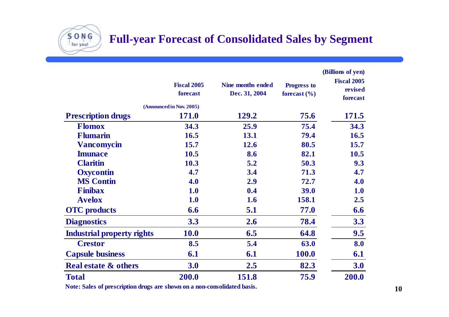**Full-year Forecast of Consolidated Sales by Segment**

|                                   | <b>Fiscal 2005</b><br>forecast           | <b>Nine months ended</b><br>Dec. 31, 2004 | <b>Progress to</b><br>forecast $(\% )$ | (Billions of yen)<br><b>Fiscal 2005</b><br>revised<br>forecast |
|-----------------------------------|------------------------------------------|-------------------------------------------|----------------------------------------|----------------------------------------------------------------|
| <b>Prescription drugs</b>         | (Announced in Nov. 2005)<br><b>171.0</b> | 129.2                                     | 75.6                                   | 171.5                                                          |
| <b>Flomox</b>                     |                                          |                                           |                                        |                                                                |
|                                   | 34.3                                     | 25.9                                      | 75.4                                   | 34.3                                                           |
| <b>Flumarin</b>                   | 16.5                                     | 13.1                                      | 79.4                                   | 16.5                                                           |
| <b>Vancomycin</b>                 | 15.7                                     | 12.6                                      | 80.5                                   | 15.7                                                           |
| <b>Imunace</b>                    | 10.5                                     | 8.6                                       | 82.1                                   | 10.5                                                           |
| <b>Claritin</b>                   | 10.3                                     | 5.2                                       | 50.3                                   | 9.3                                                            |
| <b>Oxycontin</b>                  | 4.7                                      | 3.4                                       | 71.3                                   | 4.7                                                            |
| <b>MS Contin</b>                  | 4.0                                      | 2.9                                       | 72.7                                   | 4.0                                                            |
| <b>Finibax</b>                    | 1.0                                      | 0.4                                       | 39.0                                   | 1.0                                                            |
| <b>Avelox</b>                     | 1.0                                      | 1.6                                       | 158.1                                  | 2.5                                                            |
| <b>OTC</b> products               | 6.6                                      | 5.1                                       | 77.0                                   | 6.6                                                            |
| <b>Diagnostics</b>                | 3.3                                      | 2.6                                       | 78.4                                   | 3.3                                                            |
| <b>Industrial property rights</b> | <b>10.0</b>                              | 6.5                                       | 64.8                                   | 9.5                                                            |
| <b>Crestor</b>                    | 8.5                                      | 5.4                                       | 63.0                                   | 8.0                                                            |
| <b>Capsule business</b>           | 6.1                                      | 6.1                                       | 100.0                                  | 6.1                                                            |
| <b>Real estate &amp; others</b>   | <b>3.0</b>                               | 2.5                                       | 82.3                                   | 3.0                                                            |
| <b>Total</b>                      | 200.0                                    | 151.8                                     | 75.9                                   | 200.0                                                          |

**Note: Sales of prescription drugs are shown on a non-consolidated basis.**

 $S$  O N G for you!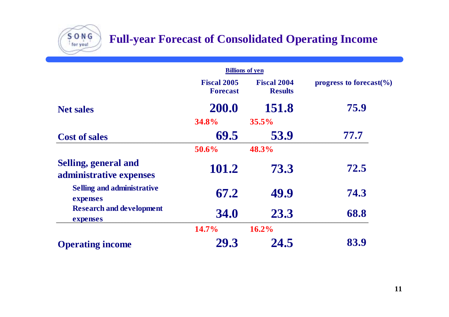## **Full-year Forecast of Consolidated Operating Income**

SONG for you!

|                                                 | <b>Billions of yen</b>                |                                      |                                    |
|-------------------------------------------------|---------------------------------------|--------------------------------------|------------------------------------|
|                                                 | <b>Fiscal 2005</b><br><b>Forecast</b> | <b>Fiscal 2004</b><br><b>Results</b> | progress to forecast $\frac{6}{6}$ |
| <b>Net sales</b>                                | 200.0                                 | 151.8                                | 75.9                               |
|                                                 | <b>34.8%</b>                          | $35.5\%$                             |                                    |
| <b>Cost of sales</b>                            | 69.5                                  | 53.9                                 | 77.7                               |
|                                                 | $50.6\%$                              | 48.3%                                |                                    |
| Selling, general and<br>administrative expenses | 101.2                                 | 73.3                                 | 72.5                               |
| <b>Selling and administrative</b><br>expenses   | 67.2                                  | 49.9                                 | 74.3                               |
| <b>Research and development</b><br>expenses     | <b>34.0</b>                           | 23.3                                 | 68.8                               |
|                                                 | 14.7%                                 | 16.2%                                |                                    |
| <b>Operating income</b>                         | 29.3                                  | 24.5                                 | 83.9                               |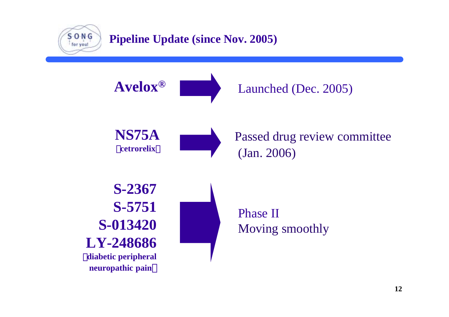

#### **Pipeline Update (since Nov. 2005)**

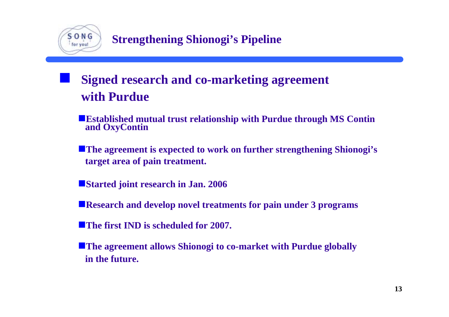

# **Signed research and co-marketing agreement with Purdue**

- **Established mutual trust relationship with Purdue through MS Contin and OxyContin**
- **The agreement is expected to work on further strengthening Shionogi's target area of pain treatment.**
- **Started joint research in Jan. 2006**
- **Research and develop novel treatments for pain under 3 programs**
- **The first IND is scheduled for 2007.**
- **The agreement allows Shionogi to co-market with Purdue globally in the future.**